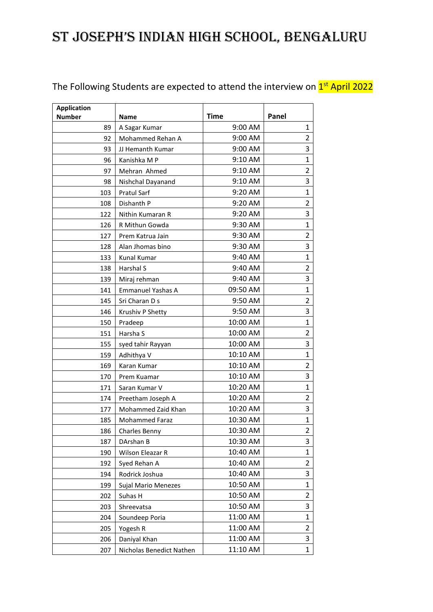## St Joseph's IndIan HIgH scHool, Bengaluru

| The Following Students are expected to attend the interview on <b>1st April 2022</b> |  |  |
|--------------------------------------------------------------------------------------|--|--|
|                                                                                      |  |  |

| <b>Application</b><br><b>Number</b> | <b>Name</b>                | <b>Time</b> | Panel          |
|-------------------------------------|----------------------------|-------------|----------------|
| 89                                  | A Sagar Kumar              | 9:00 AM     | $\mathbf{1}$   |
| 92                                  | Mohammed Rehan A           | 9:00 AM     | $\overline{2}$ |
| 93                                  | JJ Hemanth Kumar           | 9:00 AM     | 3              |
| 96                                  | Kanishka M P               | 9:10 AM     | $\mathbf 1$    |
| 97                                  | Mehran Ahmed               | 9:10 AM     | $\overline{2}$ |
| 98                                  | Nishchal Dayanand          | 9:10 AM     | 3              |
| 103                                 | Pratul Sarf                | 9:20 AM     | $\mathbf{1}$   |
| 108                                 | Dishanth P                 | 9:20 AM     | $\overline{2}$ |
| 122                                 | Nithin Kumaran R           | 9:20 AM     | 3              |
| 126                                 | R Mithun Gowda             | 9:30 AM     | $\mathbf{1}$   |
| 127                                 | Prem Katrua Jain           | 9:30 AM     | $\overline{2}$ |
| 128                                 | Alan Jhomas bino           | 9:30 AM     | 3              |
| 133                                 | Kunal Kumar                | 9:40 AM     | $\mathbf{1}$   |
| 138                                 | Harshal S                  | 9:40 AM     | $\overline{2}$ |
| 139                                 | Miraj rehman               | 9:40 AM     | 3              |
| 141                                 | Emmanuel Yashas A          | 09:50 AM    | $\mathbf{1}$   |
| 145                                 | Sri Charan D s             | 9:50 AM     | $\overline{2}$ |
| 146                                 | Krushiv P Shetty           | 9:50 AM     | 3              |
| 150                                 | Pradeep                    | 10:00 AM    | $\mathbf{1}$   |
| 151                                 | Harsha S                   | 10:00 AM    | $\overline{2}$ |
| 155                                 | syed tahir Rayyan          | 10:00 AM    | 3              |
| 159                                 | Adhithya V                 | 10:10 AM    | 1              |
| 169                                 | Karan Kumar                | 10:10 AM    | $\overline{2}$ |
| 170                                 | Prem Kuamar                | 10:10 AM    | 3              |
| 171                                 | Saran Kumar V              | 10:20 AM    | $\mathbf{1}$   |
| 174                                 | Preetham Joseph A          | 10:20 AM    | $\overline{2}$ |
| 177                                 | Mohammed Zaid Khan         | 10:20 AM    | 3              |
| 185                                 | Mohammed Faraz             | 10:30 AM    | $\mathbf 1$    |
| 186                                 | Charles Benny              | 10:30 AM    | 2              |
| 187                                 | DArshan B                  | 10:30 AM    | 3              |
| 190                                 | Wilson Eleazar R           | 10:40 AM    | $\mathbf 1$    |
| 192                                 | Syed Rehan A               | 10:40 AM    | $\overline{2}$ |
| 194                                 | Rodrick Joshua             | 10:40 AM    | 3              |
| 199                                 | <b>Sujal Mario Menezes</b> | 10:50 AM    | $\mathbf{1}$   |
| 202                                 | Suhas H                    | 10:50 AM    | $\overline{2}$ |
| 203                                 | Shreevatsa                 | 10:50 AM    | 3              |
| 204                                 | Soundeep Poria             | 11:00 AM    | $\mathbf 1$    |
| 205                                 | Yogesh R                   | 11:00 AM    | $\overline{2}$ |
| 206                                 | Daniyal Khan               | 11:00 AM    | 3              |
| 207                                 | Nicholas Benedict Nathen   | 11:10 AM    | $\mathbf{1}$   |